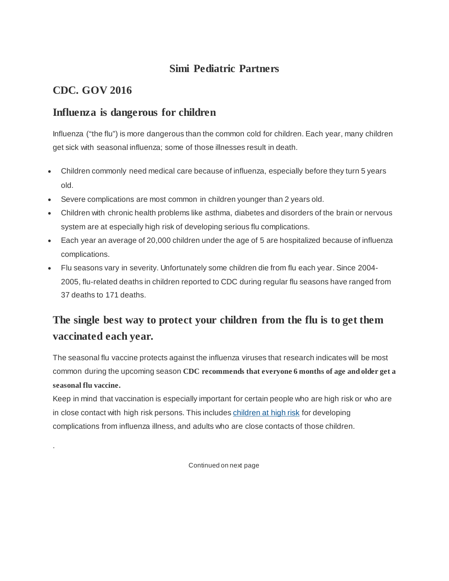## **Simi Pediatric Partners**

## **CDC. GOV 2016**

.

### **Influenza is dangerous for children**

Influenza ("the flu") is more dangerous than the common cold for children. Each year, many children get sick with seasonal influenza; some of those illnesses result in death.

- Children commonly need medical care because of influenza, especially before they turn 5 years old.
- Severe complications are most common in children younger than 2 years old.
- Children with chronic health problems like asthma, diabetes and disorders of the brain or nervous system are at especially high risk of developing serious flu complications.
- Each year an average of 20,000 children under the age of 5 are hospitalized because of influenza complications.
- Flu seasons vary in severity. Unfortunately some children die from flu each year. Since 2004- 2005, flu-related deaths in children reported to CDC during regular flu seasons have ranged from 37 deaths to 171 deaths.

## **The single best way to protect your children from the flu is to get them vaccinated each year.**

The seasonal flu vaccine protects against the influenza viruses that research indicates will be most common during the upcoming season **CDC recommends that everyone 6 months of age and older get a seasonal flu vaccine.**

Keep in mind that vaccination is especially important for certain people who are high risk or who are in close contact with high risk persons. This includes [children at high risk](http://www.cdc.gov/flu/protect/children.htm#high-risk-children) for developing complications from influenza illness, and adults who are close contacts of those children.

Continued on next page